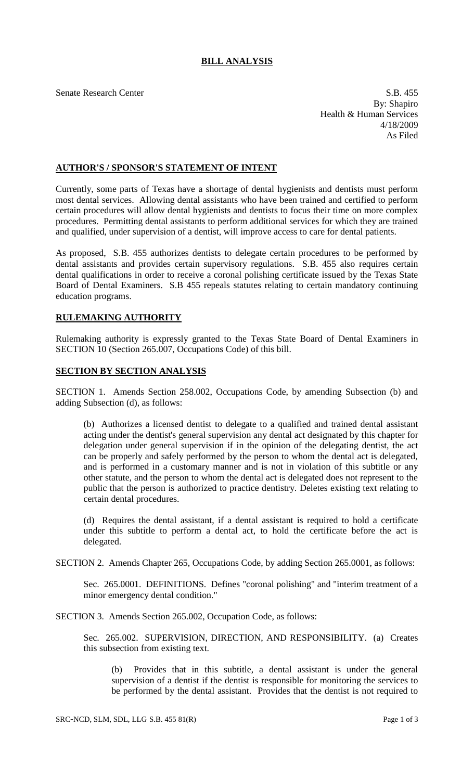## **BILL ANALYSIS**

Senate Research Center S.B. 455 By: Shapiro Health & Human Services 4/18/2009 As Filed

## **AUTHOR'S / SPONSOR'S STATEMENT OF INTENT**

Currently, some parts of Texas have a shortage of dental hygienists and dentists must perform most dental services. Allowing dental assistants who have been trained and certified to perform certain procedures will allow dental hygienists and dentists to focus their time on more complex procedures. Permitting dental assistants to perform additional services for which they are trained and qualified, under supervision of a dentist, will improve access to care for dental patients.

As proposed, S.B. 455 authorizes dentists to delegate certain procedures to be performed by dental assistants and provides certain supervisory regulations. S.B. 455 also requires certain dental qualifications in order to receive a coronal polishing certificate issued by the Texas State Board of Dental Examiners. S.B 455 repeals statutes relating to certain mandatory continuing education programs.

## **RULEMAKING AUTHORITY**

Rulemaking authority is expressly granted to the Texas State Board of Dental Examiners in SECTION 10 (Section 265.007, Occupations Code) of this bill.

## **SECTION BY SECTION ANALYSIS**

SECTION 1. Amends Section 258.002, Occupations Code, by amending Subsection (b) and adding Subsection (d), as follows:

(b) Authorizes a licensed dentist to delegate to a qualified and trained dental assistant acting under the dentist's general supervision any dental act designated by this chapter for delegation under general supervision if in the opinion of the delegating dentist, the act can be properly and safely performed by the person to whom the dental act is delegated, and is performed in a customary manner and is not in violation of this subtitle or any other statute, and the person to whom the dental act is delegated does not represent to the public that the person is authorized to practice dentistry. Deletes existing text relating to certain dental procedures.

(d) Requires the dental assistant, if a dental assistant is required to hold a certificate under this subtitle to perform a dental act, to hold the certificate before the act is delegated.

SECTION 2. Amends Chapter 265, Occupations Code, by adding Section 265.0001, as follows:

Sec. 265.0001. DEFINITIONS. Defines "coronal polishing" and "interim treatment of a minor emergency dental condition."

SECTION 3. Amends Section 265.002, Occupation Code, as follows:

Sec. 265.002. SUPERVISION, DIRECTION, AND RESPONSIBILITY. (a) Creates this subsection from existing text.

(b) Provides that in this subtitle, a dental assistant is under the general supervision of a dentist if the dentist is responsible for monitoring the services to be performed by the dental assistant. Provides that the dentist is not required to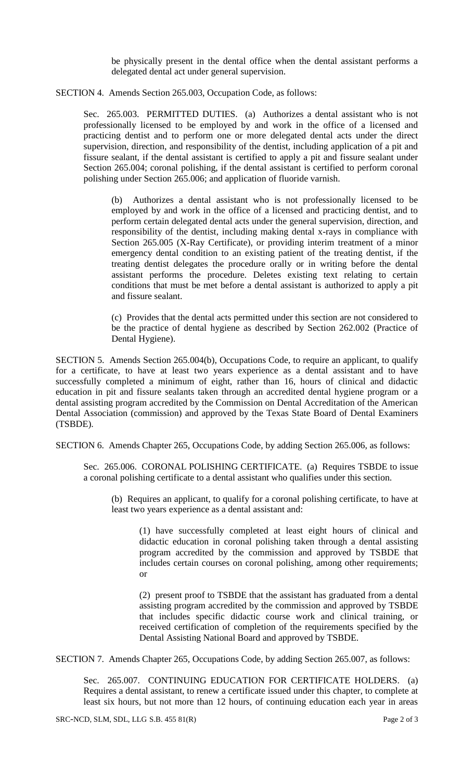be physically present in the dental office when the dental assistant performs a delegated dental act under general supervision.

SECTION 4. Amends Section 265.003, Occupation Code, as follows:

Sec. 265.003. PERMITTED DUTIES. (a) Authorizes a dental assistant who is not professionally licensed to be employed by and work in the office of a licensed and practicing dentist and to perform one or more delegated dental acts under the direct supervision, direction, and responsibility of the dentist, including application of a pit and fissure sealant, if the dental assistant is certified to apply a pit and fissure sealant under Section 265.004; coronal polishing, if the dental assistant is certified to perform coronal polishing under Section 265.006; and application of fluoride varnish.

(b) Authorizes a dental assistant who is not professionally licensed to be employed by and work in the office of a licensed and practicing dentist, and to perform certain delegated dental acts under the general supervision, direction, and responsibility of the dentist, including making dental x-rays in compliance with Section 265.005 (X-Ray Certificate), or providing interim treatment of a minor emergency dental condition to an existing patient of the treating dentist, if the treating dentist delegates the procedure orally or in writing before the dental assistant performs the procedure. Deletes existing text relating to certain conditions that must be met before a dental assistant is authorized to apply a pit and fissure sealant.

(c) Provides that the dental acts permitted under this section are not considered to be the practice of dental hygiene as described by Section 262.002 (Practice of Dental Hygiene).

SECTION 5. Amends Section 265.004(b), Occupations Code, to require an applicant, to qualify for a certificate, to have at least two years experience as a dental assistant and to have successfully completed a minimum of eight, rather than 16, hours of clinical and didactic education in pit and fissure sealants taken through an accredited dental hygiene program or a dental assisting program accredited by the Commission on Dental Accreditation of the American Dental Association (commission) and approved by the Texas State Board of Dental Examiners (TSBDE).

SECTION 6. Amends Chapter 265, Occupations Code, by adding Section 265.006, as follows:

Sec. 265.006. CORONAL POLISHING CERTIFICATE. (a) Requires TSBDE to issue a coronal polishing certificate to a dental assistant who qualifies under this section.

(b) Requires an applicant, to qualify for a coronal polishing certificate, to have at least two years experience as a dental assistant and:

(1) have successfully completed at least eight hours of clinical and didactic education in coronal polishing taken through a dental assisting program accredited by the commission and approved by TSBDE that includes certain courses on coronal polishing, among other requirements; or

(2) present proof to TSBDE that the assistant has graduated from a dental assisting program accredited by the commission and approved by TSBDE that includes specific didactic course work and clinical training, or received certification of completion of the requirements specified by the Dental Assisting National Board and approved by TSBDE.

SECTION 7. Amends Chapter 265, Occupations Code, by adding Section 265.007, as follows:

Sec. 265.007. CONTINUING EDUCATION FOR CERTIFICATE HOLDERS. (a) Requires a dental assistant, to renew a certificate issued under this chapter, to complete at least six hours, but not more than 12 hours, of continuing education each year in areas